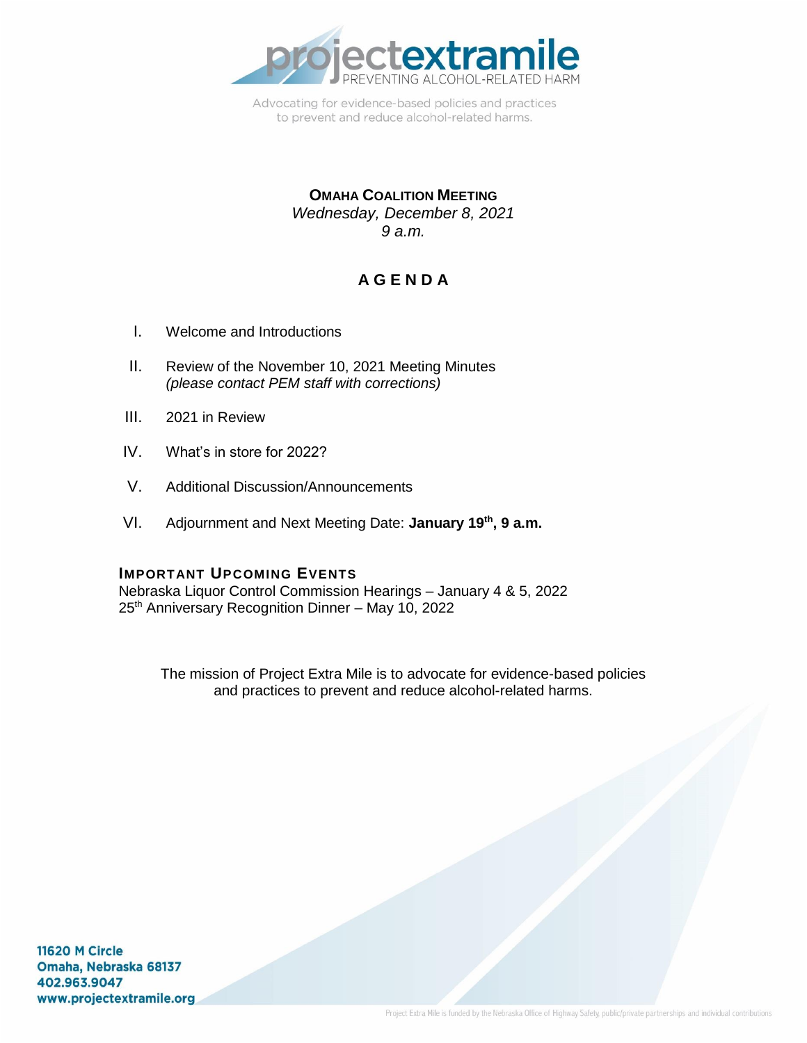

Advocating for evidence-based policies and practices to prevent and reduce alcohol-related harms.

#### **OMAHA COALITION MEETING** *Wednesday, December 8, 2021 9 a.m.*

# **A G E N D A**

- I. Welcome and Introductions
- II. Review of the November 10, 2021 Meeting Minutes *(please contact PEM staff with corrections)*
- III. 2021 in Review
- IV. What's in store for 2022?
- V. Additional Discussion/Announcements
- VI. Adjournment and Next Meeting Date: **January 19th , 9 a.m.**

#### **IMPORTANT UPCOMING EVENTS**

Nebraska Liquor Control Commission Hearings – January 4 & 5, 2022 25<sup>th</sup> Anniversary Recognition Dinner - May 10, 2022

The mission of Project Extra Mile is to advocate for evidence-based policies and practices to prevent and reduce alcohol-related harms.

11620 M Circle Omaha, Nebraska 68137 402.963.9047 www.projectextramile.org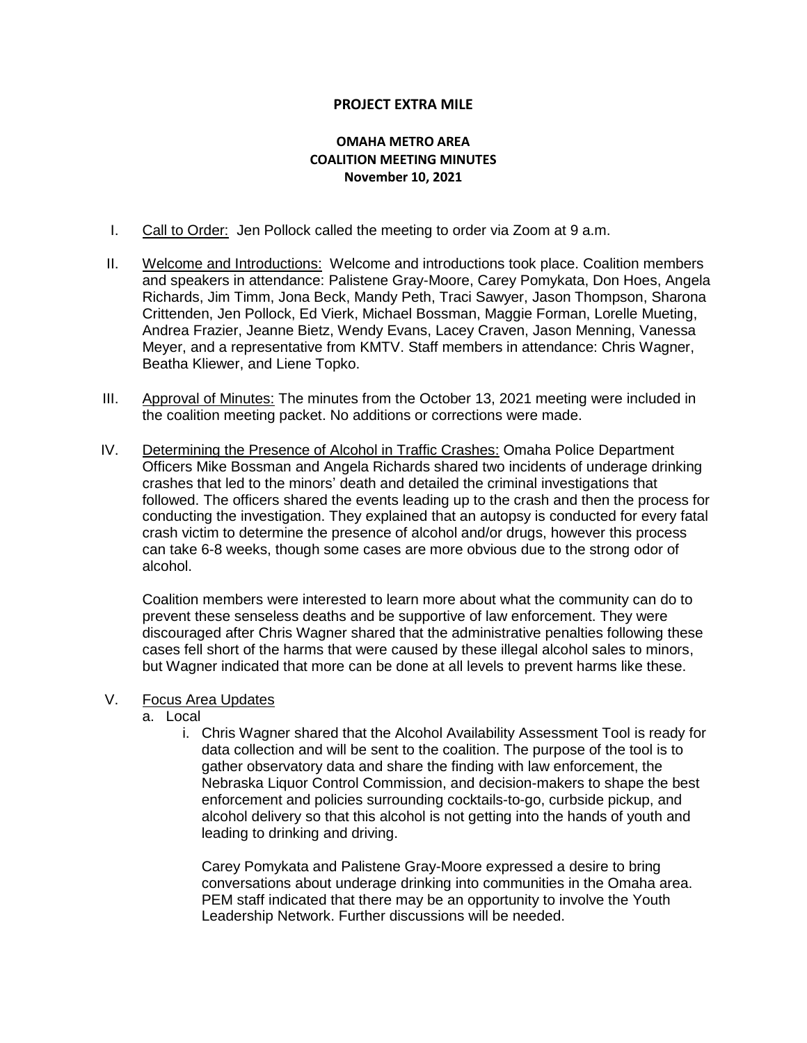#### **PROJECT EXTRA MILE**

#### **OMAHA METRO AREA COALITION MEETING MINUTES November 10, 2021**

- I. Call to Order: Jen Pollock called the meeting to order via Zoom at 9 a.m.
- II. Welcome and Introductions: Welcome and introductions took place. Coalition members and speakers in attendance: Palistene Gray-Moore, Carey Pomykata, Don Hoes, Angela Richards, Jim Timm, Jona Beck, Mandy Peth, Traci Sawyer, Jason Thompson, Sharona Crittenden, Jen Pollock, Ed Vierk, Michael Bossman, Maggie Forman, Lorelle Mueting, Andrea Frazier, Jeanne Bietz, Wendy Evans, Lacey Craven, Jason Menning, Vanessa Meyer, and a representative from KMTV. Staff members in attendance: Chris Wagner, Beatha Kliewer, and Liene Topko.
- III. Approval of Minutes: The minutes from the October 13, 2021 meeting were included in the coalition meeting packet. No additions or corrections were made.
- IV. Determining the Presence of Alcohol in Traffic Crashes: Omaha Police Department Officers Mike Bossman and Angela Richards shared two incidents of underage drinking crashes that led to the minors' death and detailed the criminal investigations that followed. The officers shared the events leading up to the crash and then the process for conducting the investigation. They explained that an autopsy is conducted for every fatal crash victim to determine the presence of alcohol and/or drugs, however this process can take 6-8 weeks, though some cases are more obvious due to the strong odor of alcohol.

Coalition members were interested to learn more about what the community can do to prevent these senseless deaths and be supportive of law enforcement. They were discouraged after Chris Wagner shared that the administrative penalties following these cases fell short of the harms that were caused by these illegal alcohol sales to minors, but Wagner indicated that more can be done at all levels to prevent harms like these.

#### V. Focus Area Updates

- a. Local
	- i. Chris Wagner shared that the Alcohol Availability Assessment Tool is ready for data collection and will be sent to the coalition. The purpose of the tool is to gather observatory data and share the finding with law enforcement, the Nebraska Liquor Control Commission, and decision-makers to shape the best enforcement and policies surrounding cocktails-to-go, curbside pickup, and alcohol delivery so that this alcohol is not getting into the hands of youth and leading to drinking and driving.

Carey Pomykata and Palistene Gray-Moore expressed a desire to bring conversations about underage drinking into communities in the Omaha area. PEM staff indicated that there may be an opportunity to involve the Youth Leadership Network. Further discussions will be needed.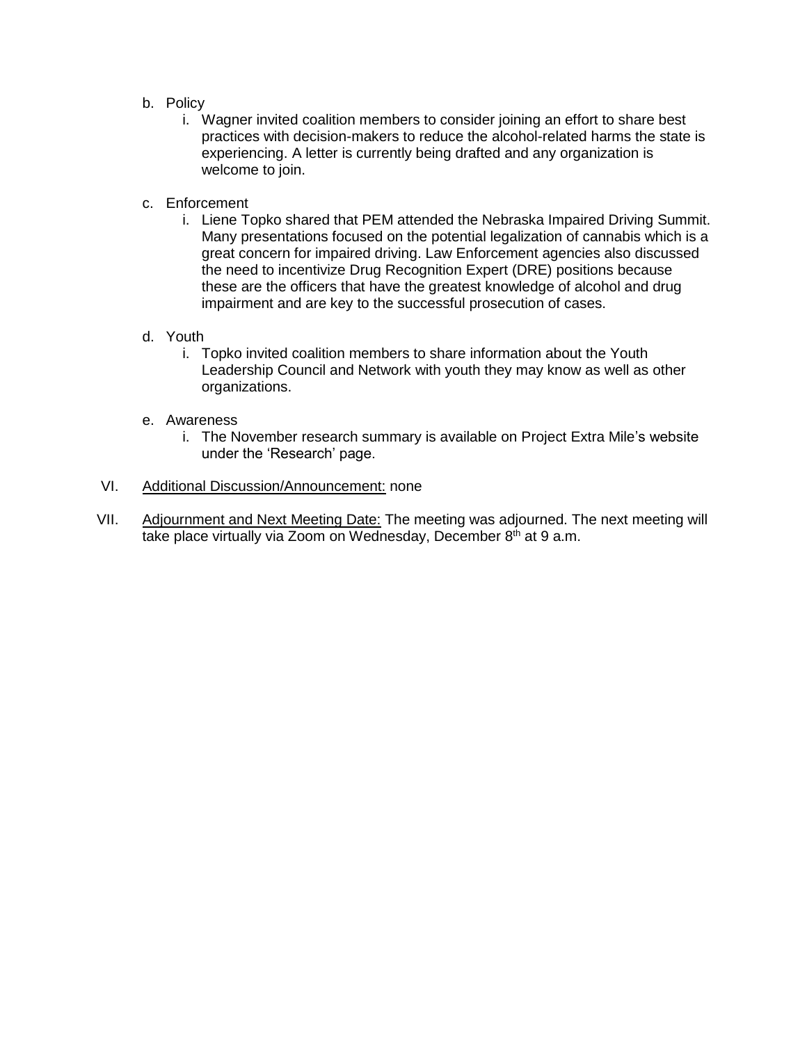- b. Policy
	- i. Wagner invited coalition members to consider joining an effort to share best practices with decision-makers to reduce the alcohol-related harms the state is experiencing. A letter is currently being drafted and any organization is welcome to join.
- c. Enforcement
	- i. Liene Topko shared that PEM attended the Nebraska Impaired Driving Summit. Many presentations focused on the potential legalization of cannabis which is a great concern for impaired driving. Law Enforcement agencies also discussed the need to incentivize Drug Recognition Expert (DRE) positions because these are the officers that have the greatest knowledge of alcohol and drug impairment and are key to the successful prosecution of cases.
- d. Youth
	- i. Topko invited coalition members to share information about the Youth Leadership Council and Network with youth they may know as well as other organizations.
- e. Awareness
	- i. The November research summary is available on Project Extra Mile's website under the 'Research' page.
- VI. Additional Discussion/Announcement: none
- VII. Adjournment and Next Meeting Date: The meeting was adjourned. The next meeting will take place virtually via Zoom on Wednesday, December 8<sup>th</sup> at 9 a.m.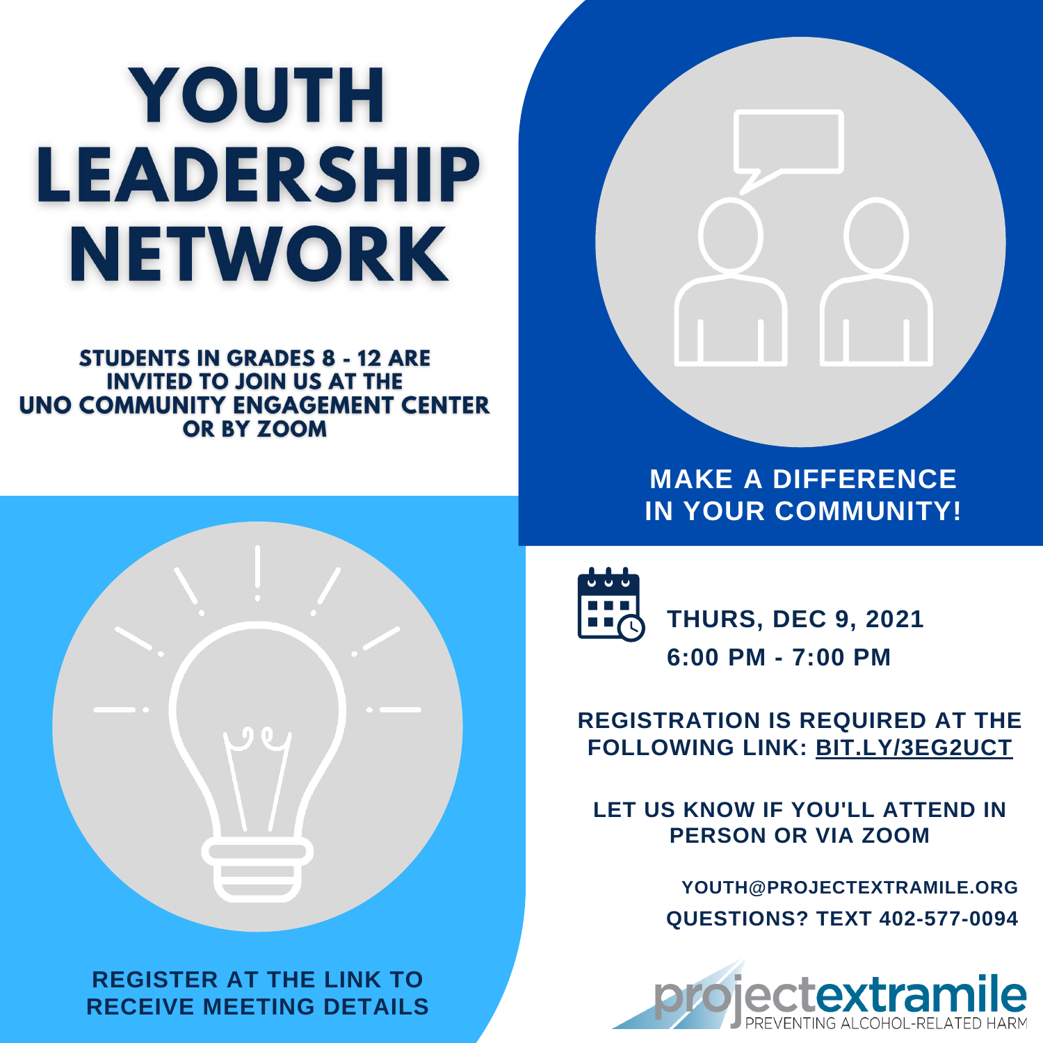# YOUTH LEADERSHIP NETWORK

**STUDENTS IN GRADES 8 - 12 ARE INVITED TO JOIN US AT THE UNO COMMUNITY ENGAGEMENT CENTER** OR BY ZOOM



**REGISTER AT THE LINK TO RECEIVE MEETING DETAILS**



**MAKE A DIFFERENCE IN YOUR COMMUNITY!**



**6:00 PM - 7:00 PM THURS, DEC 9, 2021**

# **REGISTRATION IS REQUIRED AT THE FOLLOWING LINK: [BIT.LY/3EG2UCT](https://bit.ly/3Eg2uCT)**

**LET US KNOW IF YOU'LL ATTEND IN PERSON OR VIA ZOOM**

> **QUESTIONS? TEXT 402-577-0094 YOUTH@PROJECTEXTRAMILE.ORG**

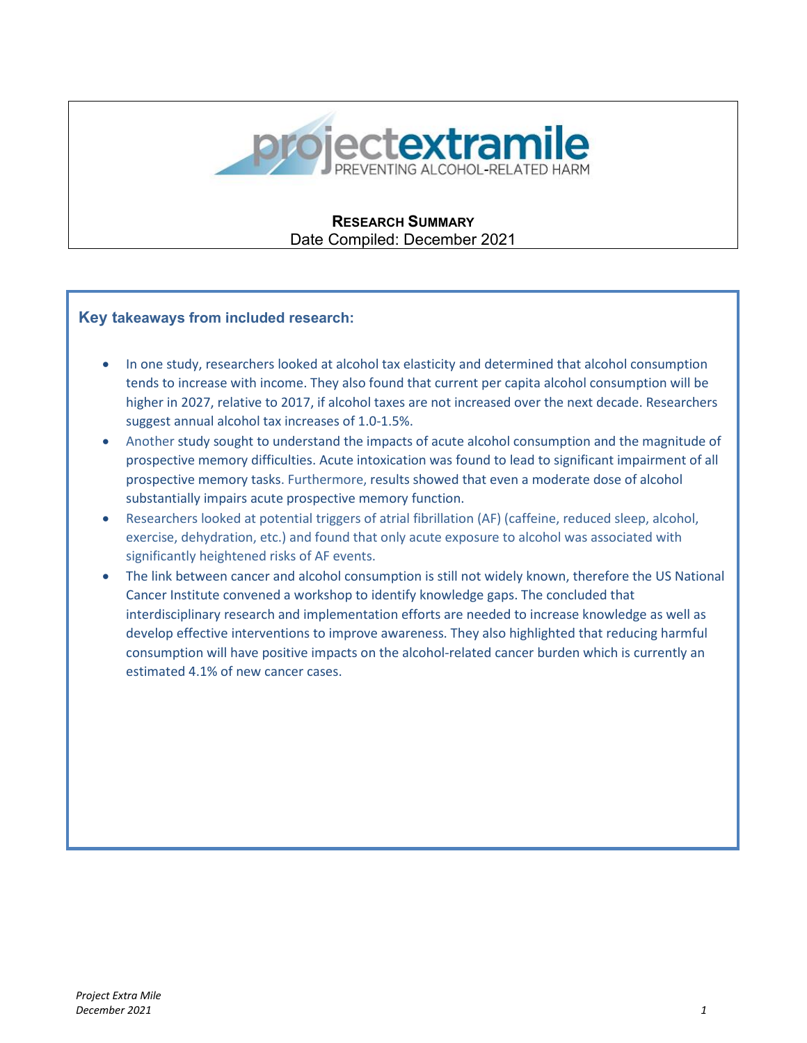

**RESEARCH SUMMARY** Date Compiled: December 2021

#### **Key takeaways from included research:**

- In one study, researchers looked at alcohol tax elasticity and determined that alcohol consumption tends to increase with income. They also found that current per capita alcohol consumption will be higher in 2027, relative to 2017, if alcohol taxes are not increased over the next decade. Researchers suggest annual alcohol tax increases of 1.0-1.5%.
- Another study sought to understand the impacts of acute alcohol consumption and the magnitude of prospective memory difficulties. Acute intoxication was found to lead to significant impairment of all prospective memory tasks. Furthermore, results showed that even a moderate dose of alcohol substantially impairs acute prospective memory function.
- Researchers looked at potential triggers of atrial fibrillation (AF) (caffeine, reduced sleep, alcohol, exercise, dehydration, etc.) and found that only acute exposure to alcohol was associated with significantly heightened risks of AF events.
- The link between cancer and alcohol consumption is still not widely known, therefore the US National Cancer Institute convened a workshop to identify knowledge gaps. The concluded that interdisciplinary research and implementation efforts are needed to increase knowledge as well as develop effective interventions to improve awareness. They also highlighted that reducing harmful consumption will have positive impacts on the alcohol-related cancer burden which is currently an estimated 4.1% of new cancer cases.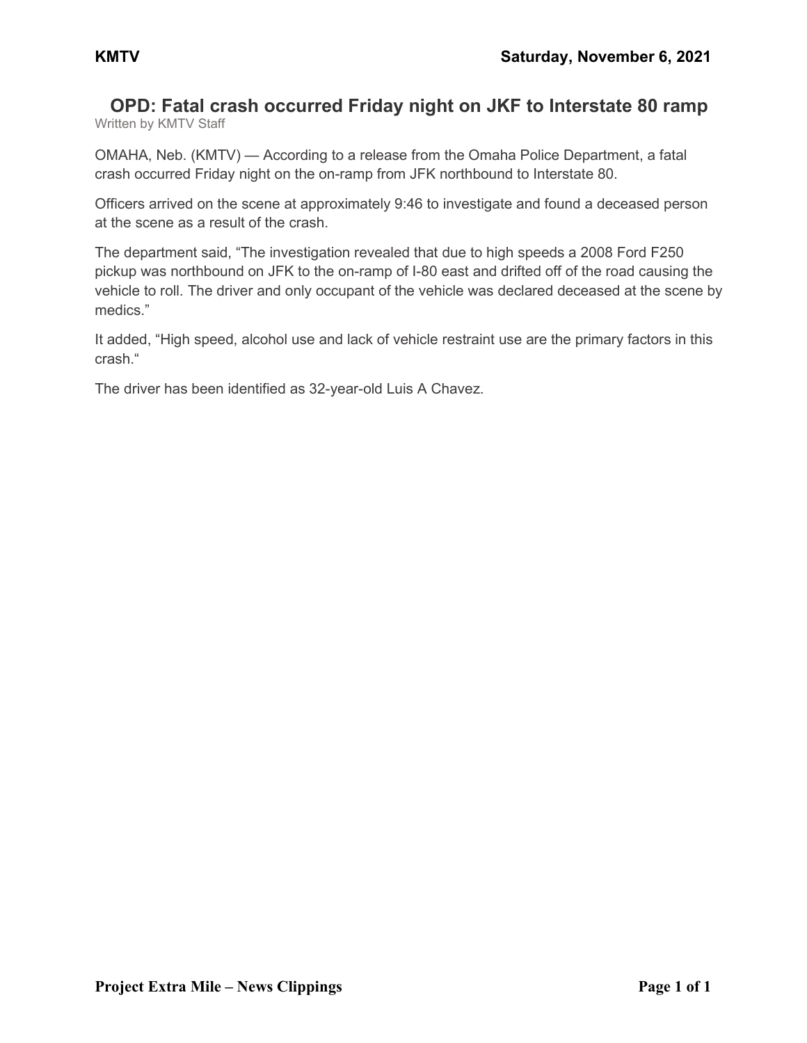#### **OPD: Fatal crash occurred Friday night on JKF to Interstate 80 ramp** Written by KMTV Staff

OMAHA, Neb. (KMTV) — According to a release from the Omaha Police Department, a fatal crash occurred Friday night on the on-ramp from JFK northbound to Interstate 80.

Officers arrived on the scene at approximately 9:46 to investigate and found a deceased person at the scene as a result of the crash.

The department said, "The investigation revealed that due to high speeds a 2008 Ford F250 pickup was northbound on JFK to the on-ramp of I-80 east and drifted off of the road causing the vehicle to roll. The driver and only occupant of the vehicle was declared deceased at the scene by medics."

It added, "High speed, alcohol use and lack of vehicle restraint use are the primary factors in this crash."

The driver has been identified as 32-year-old Luis A Chavez.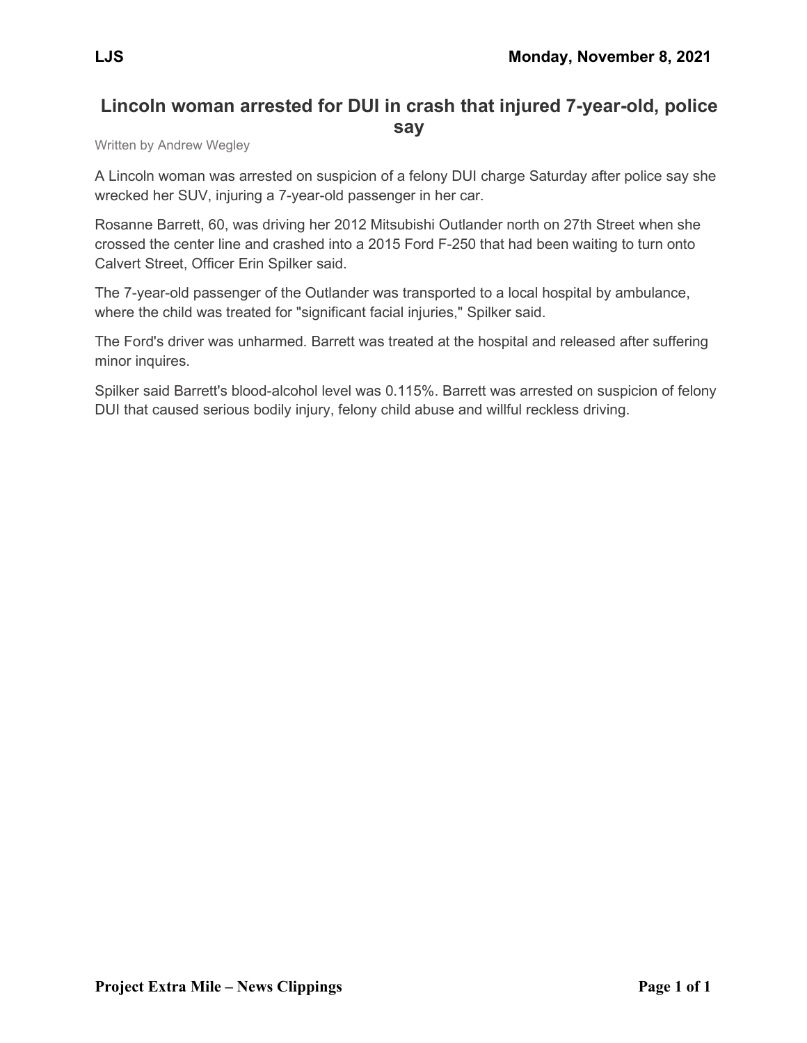# **Lincoln woman arrested for DUI in crash that injured 7-year-old, police say**

Written by Andrew Wegley

A Lincoln woman was arrested on suspicion of a felony DUI charge Saturday after police say she wrecked her SUV, injuring a 7-year-old passenger in her car.

Rosanne Barrett, 60, was driving her 2012 Mitsubishi Outlander north on 27th Street when she crossed the center line and crashed into a 2015 Ford F-250 that had been waiting to turn onto Calvert Street, Officer Erin Spilker said.

The 7-year-old passenger of the Outlander was transported to a local hospital by ambulance, where the child was treated for "significant facial injuries," Spilker said.

The Ford's driver was unharmed. Barrett was treated at the hospital and released after suffering minor inquires.

Spilker said Barrett's blood-alcohol level was 0.115%. Barrett was arrested on suspicion of felony DUI that caused serious bodily injury, felony child abuse and willful reckless driving.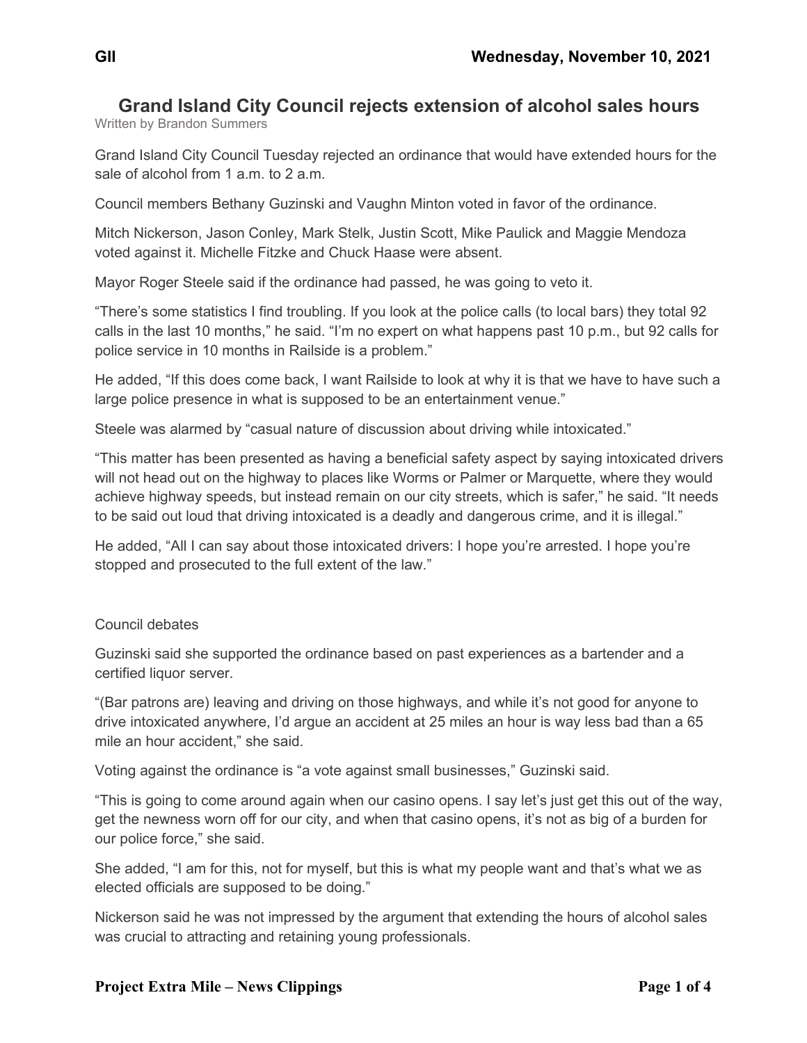# **Grand Island City Council rejects extension of alcohol sales hours**

Written by Brandon Summers

Grand Island City Council Tuesday rejected an ordinance that would have extended hours for the sale of alcohol from 1 a.m. to 2 a.m.

Council members Bethany Guzinski and Vaughn Minton voted in favor of the ordinance.

Mitch Nickerson, Jason Conley, Mark Stelk, Justin Scott, Mike Paulick and Maggie Mendoza voted against it. Michelle Fitzke and Chuck Haase were absent.

Mayor Roger Steele said if the ordinance had passed, he was going to veto it.

"There's some statistics I find troubling. If you look at the police calls (to local bars) they total 92 calls in the last 10 months," he said. "I'm no expert on what happens past 10 p.m., but 92 calls for police service in 10 months in Railside is a problem."

He added, "If this does come back, I want Railside to look at why it is that we have to have such a large police presence in what is supposed to be an entertainment venue."

Steele was alarmed by "casual nature of discussion about driving while intoxicated."

"This matter has been presented as having a beneficial safety aspect by saying intoxicated drivers will not head out on the highway to places like Worms or Palmer or Marquette, where they would achieve highway speeds, but instead remain on our city streets, which is safer," he said. "It needs to be said out loud that driving intoxicated is a deadly and dangerous crime, and it is illegal."

He added, "All I can say about those intoxicated drivers: I hope you're arrested. I hope you're stopped and prosecuted to the full extent of the law."

#### Council debates

Guzinski said she supported the ordinance based on past experiences as a bartender and a certified liquor server.

"(Bar patrons are) leaving and driving on those highways, and while it's not good for anyone to drive intoxicated anywhere, I'd argue an accident at 25 miles an hour is way less bad than a 65 mile an hour accident," she said.

Voting against the ordinance is "a vote against small businesses," Guzinski said.

"This is going to come around again when our casino opens. I say let's just get this out of the way, get the newness worn off for our city, and when that casino opens, it's not as big of a burden for our police force," she said.

She added, "I am for this, not for myself, but this is what my people want and that's what we as elected officials are supposed to be doing."

Nickerson said he was not impressed by the argument that extending the hours of alcohol sales was crucial to attracting and retaining young professionals.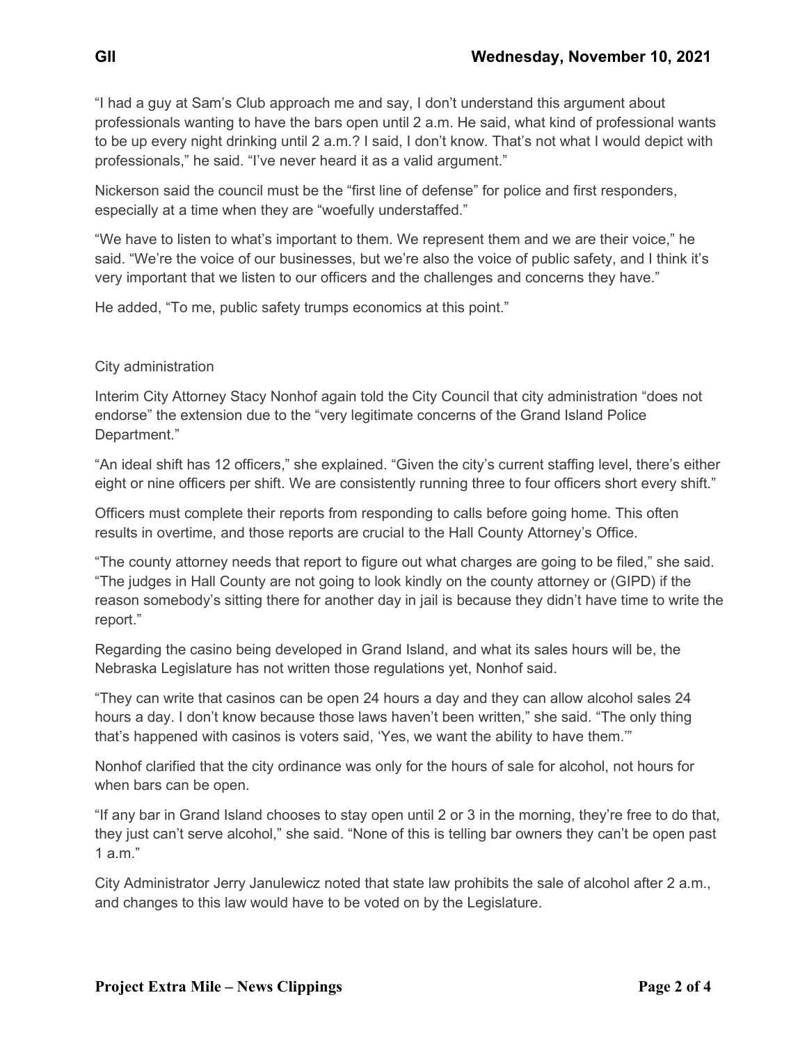"I had a guy at Sam's Club approach me and say, I don't understand this argument about professionals wanting to have the bars open until 2 a.m. He said, what kind of professional wants to be up every night drinking until 2 a.m.? I said, I don't know. That's not what I would depict with professionals," he said. "I've never heard it as a valid argument."

Nickerson said the council must be the "first line of defense" for police and first responders, especially at a time when they are "woefully understaffed."

"We have to listen to what's important to them. We represent them and we are their voice," he said. "We're the voice of our businesses, but we're also the voice of public safety, and I think it's very important that we listen to our officers and the challenges and concerns they have."

He added, "To me, public safety trumps economics at this point."

#### City administration

Interim City Attorney Stacy Nonhof again told the City Council that city administration "does not endorse" the extension due to the "very legitimate concerns of the Grand Island Police Department."

"An ideal shift has 12 officers," she explained. "Given the city's current staffing level, there's either eight or nine officers per shift. We are consistently running three to four officers short every shift."

Officers must complete their reports from responding to calls before going home. This often results in overtime, and those reports are crucial to the Hall County Attorney's Office.

"The county attorney needs that report to figure out what charges are going to be filed," she said. "The judges in Hall County are not going to look kindly on the county attorney or (GIPD) if the reason somebody's sitting there for another day in jail is because they didn't have time to write the report."

Regarding the casino being developed in Grand Island, and what its sales hours will be, the Nebraska Legislature has not written those regulations yet, Nonhof said.

"They can write that casinos can be open 24 hours a day and they can allow alcohol sales 24 hours a day. I don't know because those laws haven't been written," she said. "The only thing that's happened with casinos is voters said, 'Yes, we want the ability to have them.'"

Nonhof clarified that the city ordinance was only for the hours of sale for alcohol, not hours for when bars can be open.

"If any bar in Grand Island chooses to stay open until 2 or 3 in the morning, they're free to do that, they just can't serve alcohol," she said. "None of this is telling bar owners they can't be open past  $1$  a.m."

City Administrator Jerry Janulewicz noted that state law prohibits the sale of alcohol after 2 a.m., and changes to this law would have to be voted on by the Legislature.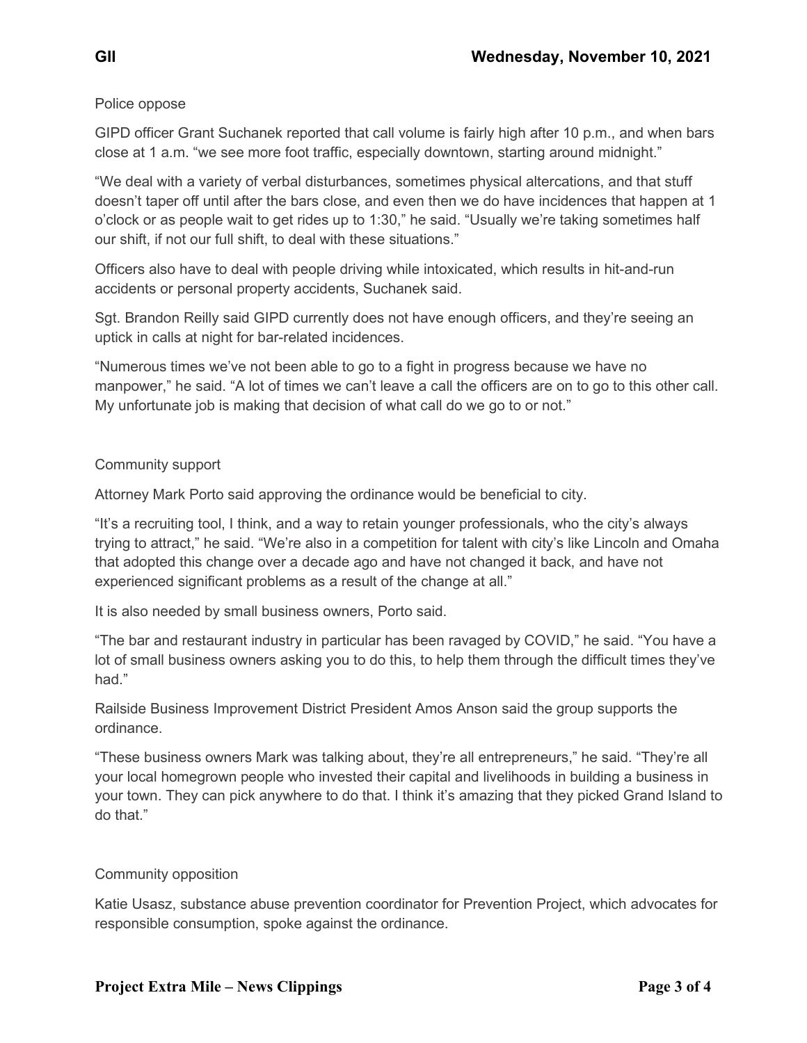### Police oppose

GIPD officer Grant Suchanek reported that call volume is fairly high after 10 p.m., and when bars close at 1 a.m. "we see more foot traffic, especially downtown, starting around midnight."

"We deal with a variety of verbal disturbances, sometimes physical altercations, and that stuff doesn't taper off until after the bars close, and even then we do have incidences that happen at 1 o'clock or as people wait to get rides up to 1:30," he said. "Usually we're taking sometimes half our shift, if not our full shift, to deal with these situations."

Officers also have to deal with people driving while intoxicated, which results in hit-and-run accidents or personal property accidents, Suchanek said.

Sgt. Brandon Reilly said GIPD currently does not have enough officers, and they're seeing an uptick in calls at night for bar-related incidences.

"Numerous times we've not been able to go to a fight in progress because we have no manpower," he said. "A lot of times we can't leave a call the officers are on to go to this other call. My unfortunate job is making that decision of what call do we go to or not."

#### Community support

Attorney Mark Porto said approving the ordinance would be beneficial to city.

"It's a recruiting tool, I think, and a way to retain younger professionals, who the city's always trying to attract," he said. "We're also in a competition for talent with city's like Lincoln and Omaha that adopted this change over a decade ago and have not changed it back, and have not experienced significant problems as a result of the change at all."

It is also needed by small business owners, Porto said.

"The bar and restaurant industry in particular has been ravaged by COVID," he said. "You have a lot of small business owners asking you to do this, to help them through the difficult times they've had."

Railside Business Improvement District President Amos Anson said the group supports the ordinance.

"These business owners Mark was talking about, they're all entrepreneurs," he said. "They're all your local homegrown people who invested their capital and livelihoods in building a business in your town. They can pick anywhere to do that. I think it's amazing that they picked Grand Island to do that."

### Community opposition

Katie Usasz, substance abuse prevention coordinator for Prevention Project, which advocates for responsible consumption, spoke against the ordinance.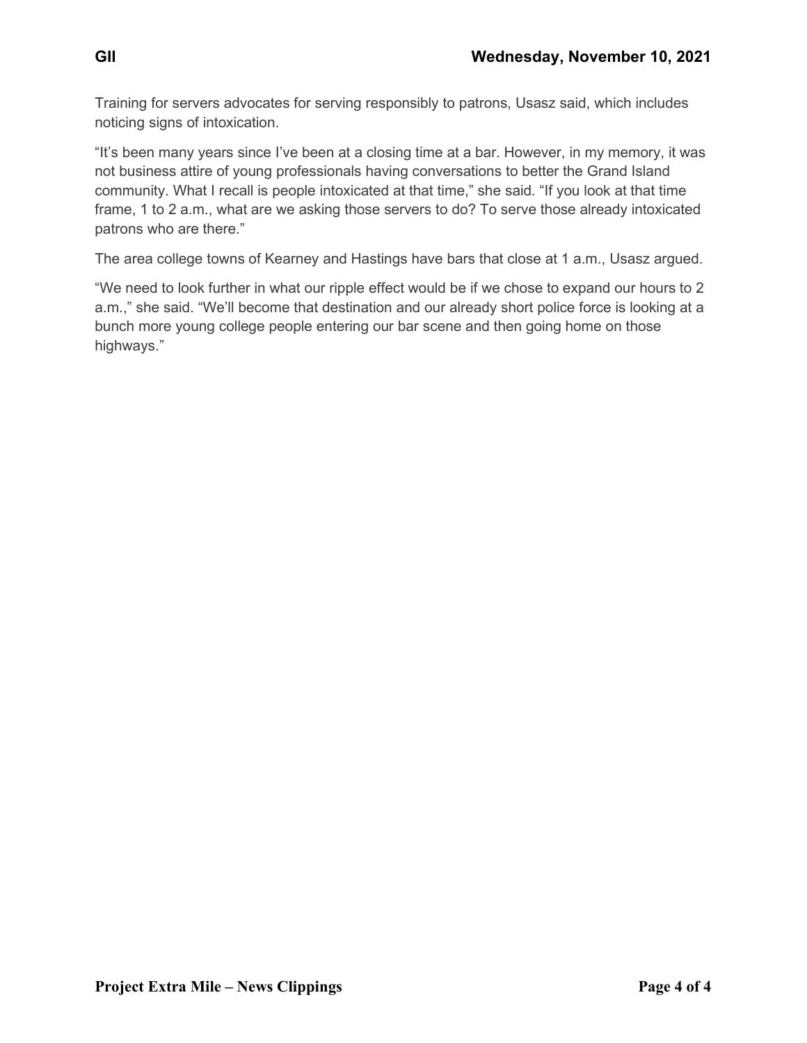Training for servers advocates for serving responsibly to patrons, Usasz said, which includes noticing signs of intoxication.

"It's been many years since I've been at a closing time at a bar. However, in my memory, it was not business attire of young professionals having conversations to better the Grand Island community. What I recall is people intoxicated at that time," she said. "If you look at that time frame, 1 to 2 a.m., what are we asking those servers to do? To serve those already intoxicated patrons who are there."

The area college towns of Kearney and Hastings have bars that close at 1 a.m., Usasz argued.

"We need to look further in what our ripple effect would be if we chose to expand our hours to 2 a.m.," she said. "We'll become that destination and our already short police force is looking at a bunch more young college people entering our bar scene and then going home on those highways."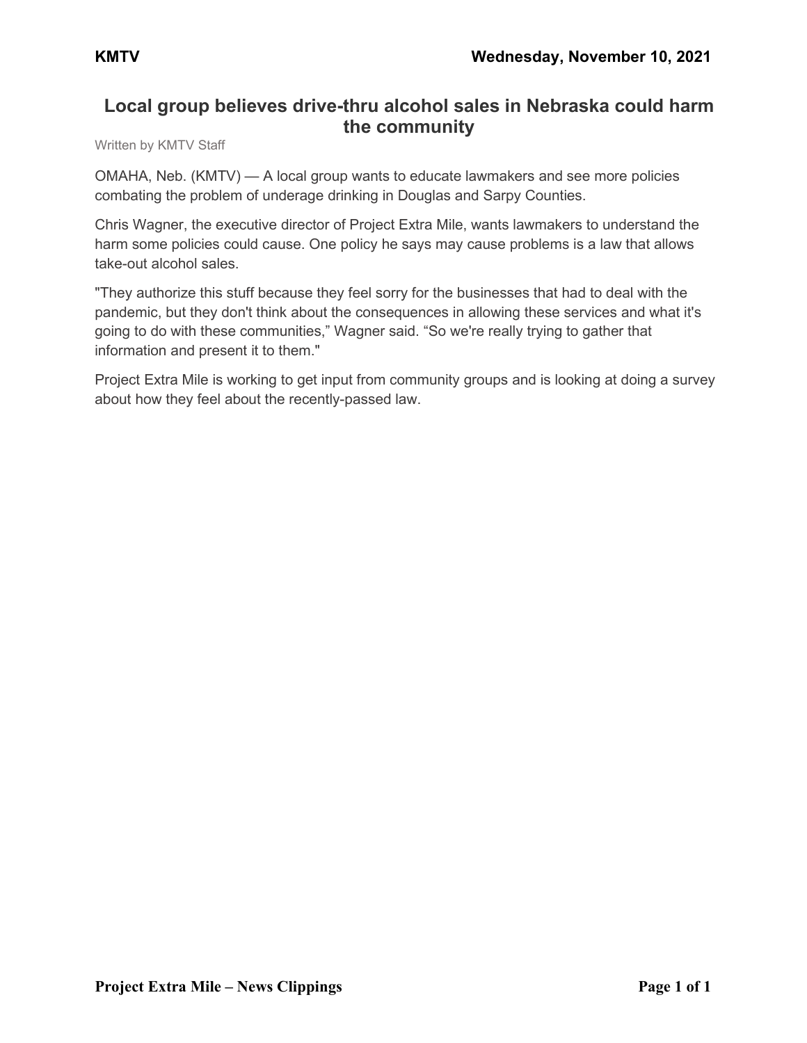# **Local group believes drive-thru alcohol sales in Nebraska could harm the community**

Written by KMTV Staff

OMAHA, Neb. (KMTV) — A local group wants to educate lawmakers and see more policies combating the problem of underage drinking in Douglas and Sarpy Counties.

Chris Wagner, the executive director of Project Extra Mile, wants lawmakers to understand the harm some policies could cause. One policy he says may cause problems is a law that allows take-out alcohol sales.

"They authorize this stuff because they feel sorry for the businesses that had to deal with the pandemic, but they don't think about the consequences in allowing these services and what it's going to do with these communities," Wagner said. "So we're really trying to gather that information and present it to them."

Project Extra Mile is working to get input from community groups and is looking at doing a survey about how they feel about the recently-passed law.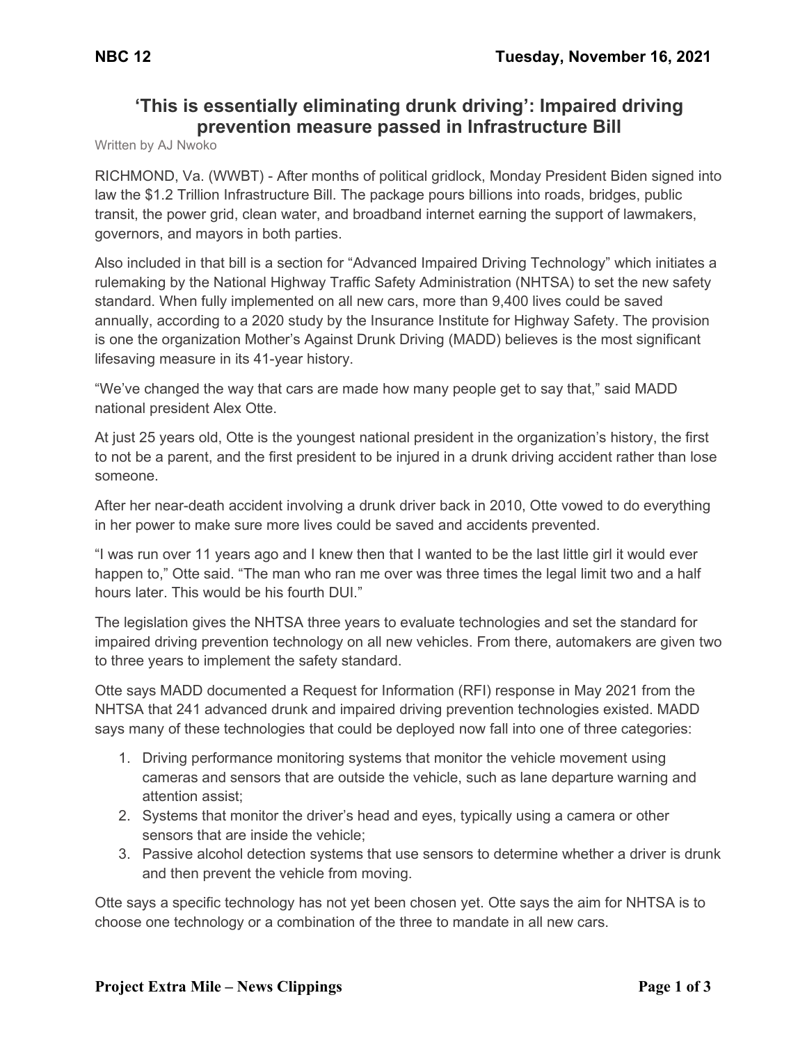# **'This is essentially eliminating drunk driving': Impaired driving prevention measure passed in Infrastructure Bill**

Written by AJ Nwoko

RICHMOND, Va. (WWBT) - After months of political gridlock, Monday President Biden signed into law the \$1.2 Trillion Infrastructure Bill. The package pours billions into roads, bridges, public transit, the power grid, clean water, and broadband internet earning the support of lawmakers, governors, and mayors in both parties.

Also included in that bill is a section for "Advanced Impaired Driving Technology" which initiates a rulemaking by the National Highway Traffic Safety Administration (NHTSA) to set the new safety standard. When fully implemented on all new cars, more than 9,400 lives could be saved annually, according to a 2020 study by the Insurance Institute for Highway Safety. The provision is one the organization Mother's Against Drunk Driving (MADD) believes is the most significant lifesaving measure in its 41-year history.

"We've changed the way that cars are made how many people get to say that," said MADD national president Alex Otte.

At just 25 years old, Otte is the youngest national president in the organization's history, the first to not be a parent, and the first president to be injured in a drunk driving accident rather than lose someone.

After her near-death accident involving a drunk driver back in 2010, Otte vowed to do everything in her power to make sure more lives could be saved and accidents prevented.

"I was run over 11 years ago and I knew then that I wanted to be the last little girl it would ever happen to," Otte said. "The man who ran me over was three times the legal limit two and a half hours later. This would be his fourth DUI."

The legislation gives the NHTSA three years to evaluate technologies and set the standard for impaired driving prevention technology on all new vehicles. From there, automakers are given two to three years to implement the safety standard.

Otte says MADD documented a Request for Information (RFI) response in May 2021 from the NHTSA that 241 advanced drunk and impaired driving prevention technologies existed. MADD says many of these technologies that could be deployed now fall into one of three categories:

- 1. Driving performance monitoring systems that monitor the vehicle movement using cameras and sensors that are outside the vehicle, such as lane departure warning and attention assist;
- 2. Systems that monitor the driver's head and eyes, typically using a camera or other sensors that are inside the vehicle;
- 3. Passive alcohol detection systems that use sensors to determine whether a driver is drunk and then prevent the vehicle from moving.

Otte says a specific technology has not yet been chosen yet. Otte says the aim for NHTSA is to choose one technology or a combination of the three to mandate in all new cars.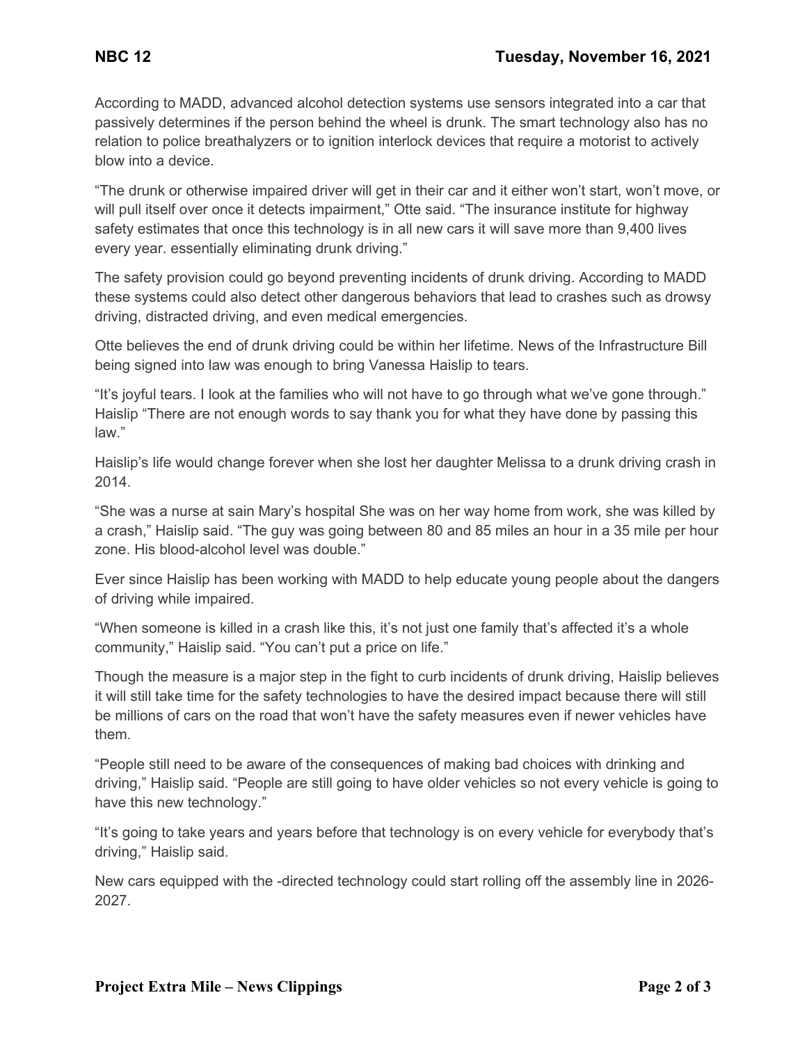According to MADD, advanced alcohol detection systems use sensors integrated into a car that passively determines if the person behind the wheel is drunk. The smart technology also has no relation to police breathalyzers or to ignition interlock devices that require a motorist to actively blow into a device.

"The drunk or otherwise impaired driver will get in their car and it either won't start, won't move, or will pull itself over once it detects impairment," Otte said. "The insurance institute for highway safety estimates that once this technology is in all new cars it will save more than 9,400 lives every year. essentially eliminating drunk driving."

The safety provision could go beyond preventing incidents of drunk driving. According to MADD these systems could also detect other dangerous behaviors that lead to crashes such as drowsy driving, distracted driving, and even medical emergencies.

Otte believes the end of drunk driving could be within her lifetime. News of the Infrastructure Bill being signed into law was enough to bring Vanessa Haislip to tears.

"It's joyful tears. I look at the families who will not have to go through what we've gone through." Haislip "There are not enough words to say thank you for what they have done by passing this law."

Haislip's life would change forever when she lost her daughter Melissa to a drunk driving crash in 2014.

"She was a nurse at sain Mary's hospital She was on her way home from work, she was killed by a crash," Haislip said. "The guy was going between 80 and 85 miles an hour in a 35 mile per hour zone. His blood-alcohol level was double."

Ever since Haislip has been working with MADD to help educate young people about the dangers of driving while impaired.

"When someone is killed in a crash like this, it's not just one family that's affected it's a whole community," Haislip said. "You can't put a price on life."

Though the measure is a major step in the fight to curb incidents of drunk driving, Haislip believes it will still take time for the safety technologies to have the desired impact because there will still be millions of cars on the road that won't have the safety measures even if newer vehicles have them.

"People still need to be aware of the consequences of making bad choices with drinking and driving," Haislip said. "People are still going to have older vehicles so not every vehicle is going to have this new technology."

"It's going to take years and years before that technology is on every vehicle for everybody that's driving," Haislip said.

New cars equipped with the -directed technology could start rolling off the assembly line in 2026- 2027.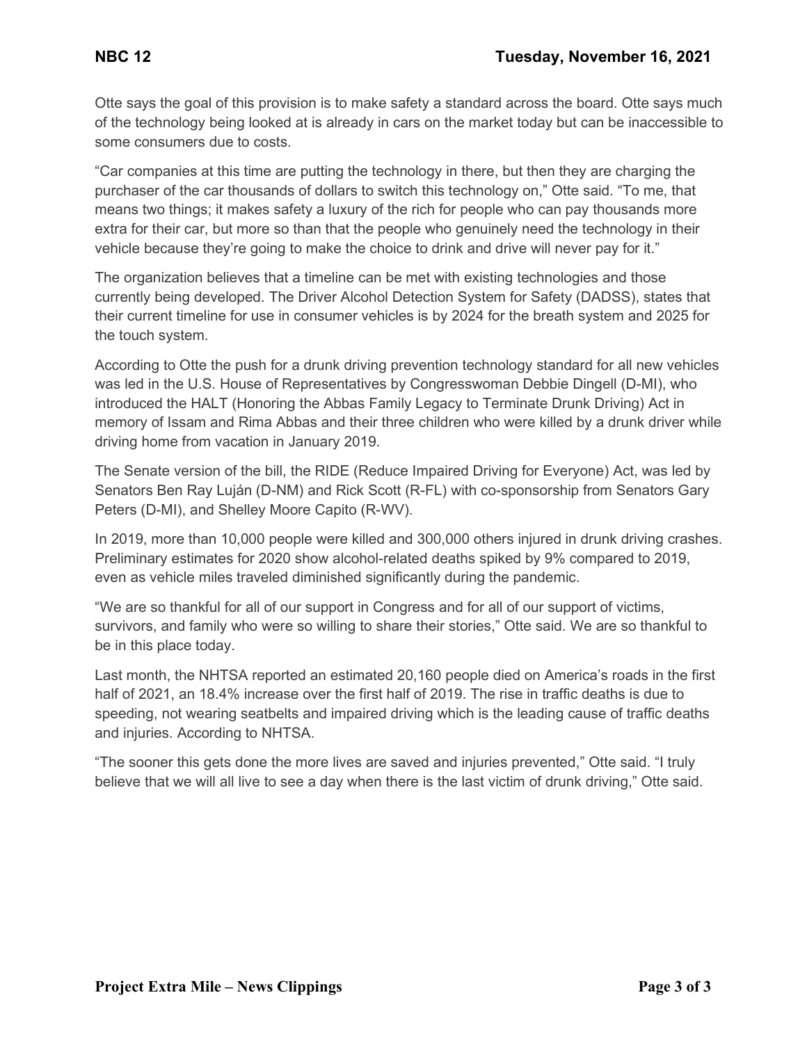Otte says the goal of this provision is to make safety a standard across the board. Otte says much of the technology being looked at is already in cars on the market today but can be inaccessible to some consumers due to costs.

"Car companies at this time are putting the technology in there, but then they are charging the purchaser of the car thousands of dollars to switch this technology on," Otte said. "To me, that means two things; it makes safety a luxury of the rich for people who can pay thousands more extra for their car, but more so than that the people who genuinely need the technology in their vehicle because they're going to make the choice to drink and drive will never pay for it."

The organization believes that a timeline can be met with existing technologies and those currently being developed. The Driver Alcohol Detection System for Safety (DADSS), states that their current timeline for use in consumer vehicles is by 2024 for the breath system and 2025 for the touch system.

According to Otte the push for a drunk driving prevention technology standard for all new vehicles was led in the U.S. House of Representatives by Congresswoman Debbie Dingell (D-MI), who introduced the HALT (Honoring the Abbas Family Legacy to Terminate Drunk Driving) Act in memory of Issam and Rima Abbas and their three children who were killed by a drunk driver while driving home from vacation in January 2019.

The Senate version of the bill, the RIDE (Reduce Impaired Driving for Everyone) Act, was led by Senators Ben Ray Luján (D-NM) and Rick Scott (R-FL) with co-sponsorship from Senators Gary Peters (D-MI), and Shelley Moore Capito (R-WV).

In 2019, more than 10,000 people were killed and 300,000 others injured in drunk driving crashes. Preliminary estimates for 2020 show alcohol-related deaths spiked by 9% compared to 2019, even as vehicle miles traveled diminished significantly during the pandemic.

"We are so thankful for all of our support in Congress and for all of our support of victims, survivors, and family who were so willing to share their stories," Otte said. We are so thankful to be in this place today.

Last month, the NHTSA reported an estimated 20,160 people died on America's roads in the first half of 2021, an 18.4% increase over the first half of 2019. The rise in traffic deaths is due to speeding, not wearing seatbelts and impaired driving which is the leading cause of traffic deaths and injuries. According to NHTSA.

"The sooner this gets done the more lives are saved and injuries prevented," Otte said. "I truly believe that we will all live to see a day when there is the last victim of drunk driving," Otte said.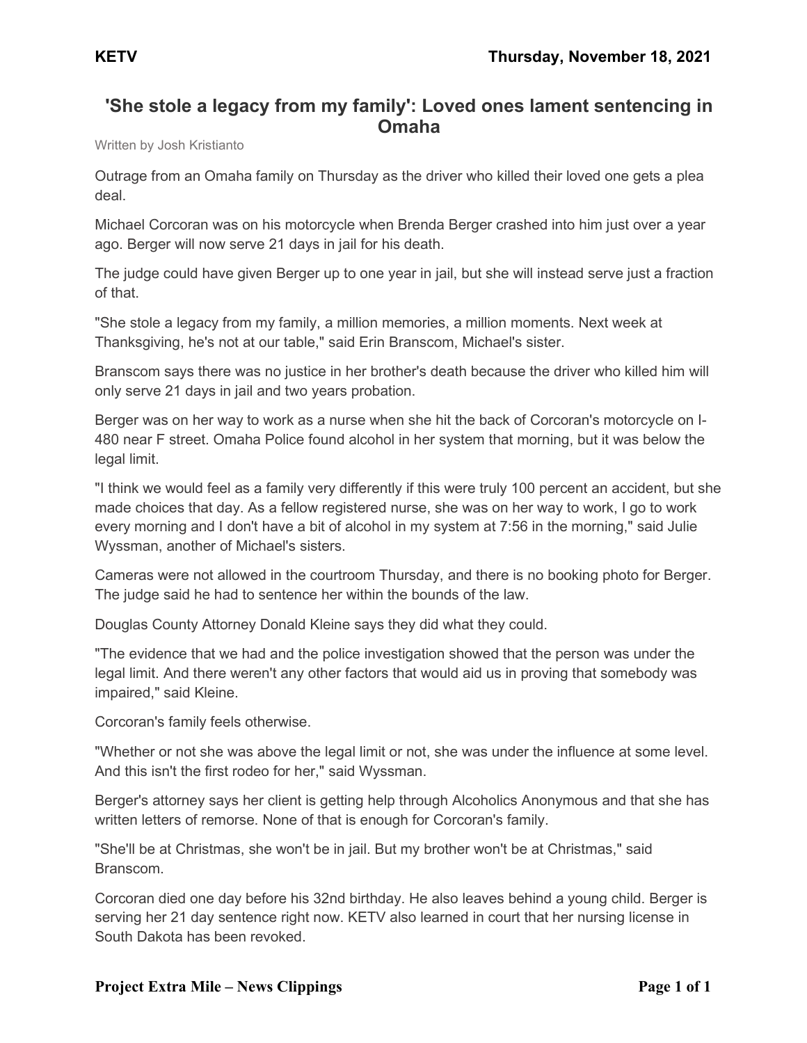# **'She stole a legacy from my family': Loved ones lament sentencing in Omaha**

Written by Josh Kristianto

Outrage from an Omaha family on Thursday as the driver who killed their loved one gets a plea deal.

Michael Corcoran was on his motorcycle when Brenda Berger crashed into him just over a year ago. Berger will now serve 21 days in jail for his death.

The judge could have given Berger up to one year in jail, but she will instead serve just a fraction of that.

"She stole a legacy from my family, a million memories, a million moments. Next week at Thanksgiving, he's not at our table," said Erin Branscom, Michael's sister.

Branscom says there was no justice in her brother's death because the driver who killed him will only serve 21 days in jail and two years probation.

Berger was on her way to work as a nurse when she hit the back of Corcoran's motorcycle on I-480 near F street. Omaha Police found alcohol in her system that morning, but it was below the legal limit.

"I think we would feel as a family very differently if this were truly 100 percent an accident, but she made choices that day. As a fellow registered nurse, she was on her way to work, I go to work every morning and I don't have a bit of alcohol in my system at 7:56 in the morning," said Julie Wyssman, another of Michael's sisters.

Cameras were not allowed in the courtroom Thursday, and there is no booking photo for Berger. The judge said he had to sentence her within the bounds of the law.

Douglas County Attorney Donald Kleine says they did what they could.

"The evidence that we had and the police investigation showed that the person was under the legal limit. And there weren't any other factors that would aid us in proving that somebody was impaired," said Kleine.

Corcoran's family feels otherwise.

"Whether or not she was above the legal limit or not, she was under the influence at some level. And this isn't the first rodeo for her," said Wyssman.

Berger's attorney says her client is getting help through Alcoholics Anonymous and that she has written letters of remorse. None of that is enough for Corcoran's family.

"She'll be at Christmas, she won't be in jail. But my brother won't be at Christmas," said Branscom.

Corcoran died one day before his 32nd birthday. He also leaves behind a young child. Berger is serving her 21 day sentence right now. KETV also learned in court that her nursing license in South Dakota has been revoked.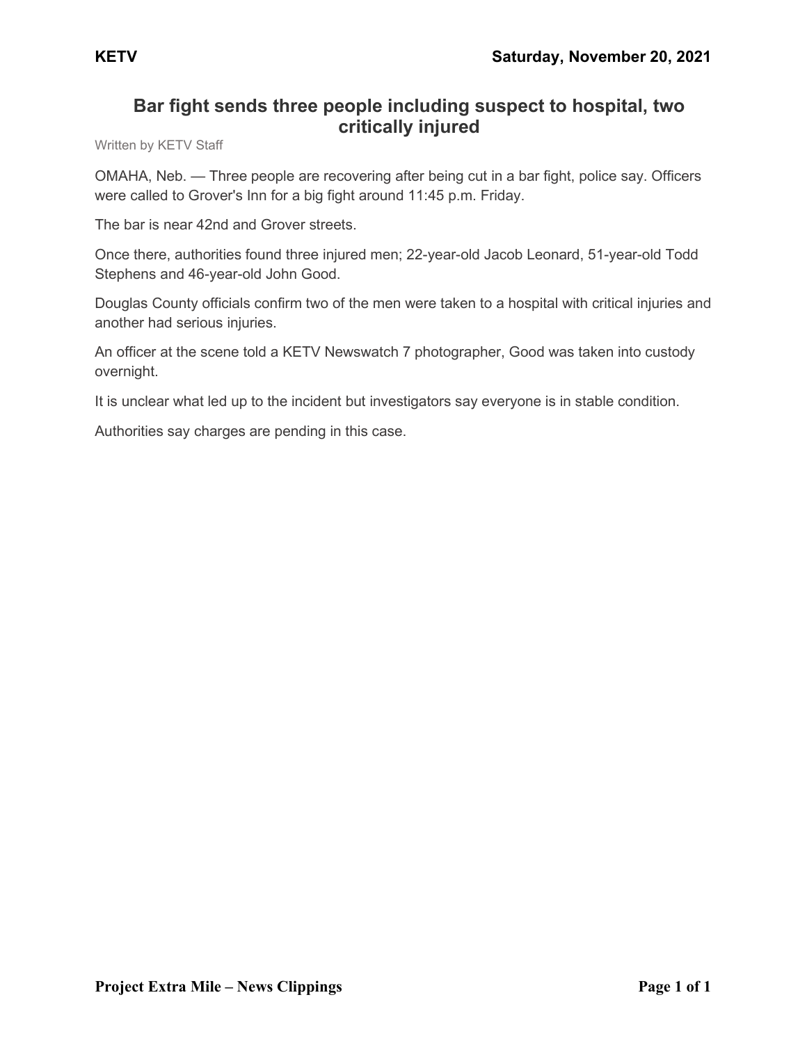# **Bar fight sends three people including suspect to hospital, two critically injured**

Written by KETV Staff

OMAHA, Neb. — Three people are recovering after being cut in a bar fight, police say. Officers were called to Grover's Inn for a big fight around 11:45 p.m. Friday.

The bar is near 42nd and Grover streets.

Once there, authorities found three injured men; 22-year-old Jacob Leonard, 51-year-old Todd Stephens and 46-year-old John Good.

Douglas County officials confirm two of the men were taken to a hospital with critical injuries and another had serious injuries.

An officer at the scene told a KETV Newswatch 7 photographer, Good was taken into custody overnight.

It is unclear what led up to the incident but investigators say everyone is in stable condition.

Authorities say charges are pending in this case.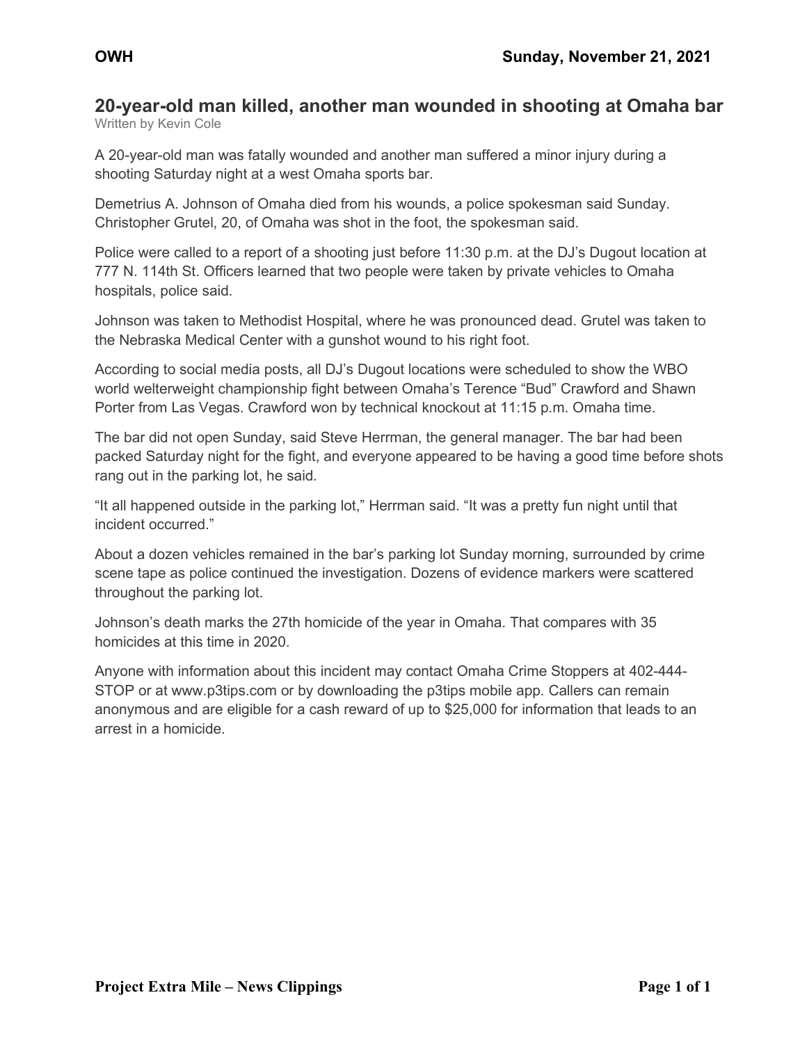#### **20-year-old man killed, another man wounded in shooting at Omaha bar** Written by Kevin Cole

A 20-year-old man was fatally wounded and another man suffered a minor injury during a shooting Saturday night at a west Omaha sports bar.

Demetrius A. Johnson of Omaha died from his wounds, a police spokesman said Sunday. Christopher Grutel, 20, of Omaha was shot in the foot, the spokesman said.

Police were called to a report of a shooting just before 11:30 p.m. at the DJ's Dugout location at 777 N. 114th St. Officers learned that two people were taken by private vehicles to Omaha hospitals, police said.

Johnson was taken to Methodist Hospital, where he was pronounced dead. Grutel was taken to the Nebraska Medical Center with a gunshot wound to his right foot.

According to social media posts, all DJ's Dugout locations were scheduled to show the WBO world welterweight championship fight between Omaha's Terence "Bud" Crawford and Shawn Porter from Las Vegas. Crawford won by technical knockout at 11:15 p.m. Omaha time.

The bar did not open Sunday, said Steve Herrman, the general manager. The bar had been packed Saturday night for the fight, and everyone appeared to be having a good time before shots rang out in the parking lot, he said.

"It all happened outside in the parking lot," Herrman said. "It was a pretty fun night until that incident occurred."

About a dozen vehicles remained in the bar's parking lot Sunday morning, surrounded by crime scene tape as police continued the investigation. Dozens of evidence markers were scattered throughout the parking lot.

Johnson's death marks the 27th homicide of the year in Omaha. That compares with 35 homicides at this time in 2020.

Anyone with information about this incident may contact Omaha Crime Stoppers at 402-444- STOP or at www.p3tips.com or by downloading the p3tips mobile app. Callers can remain anonymous and are eligible for a cash reward of up to \$25,000 for information that leads to an arrest in a homicide.